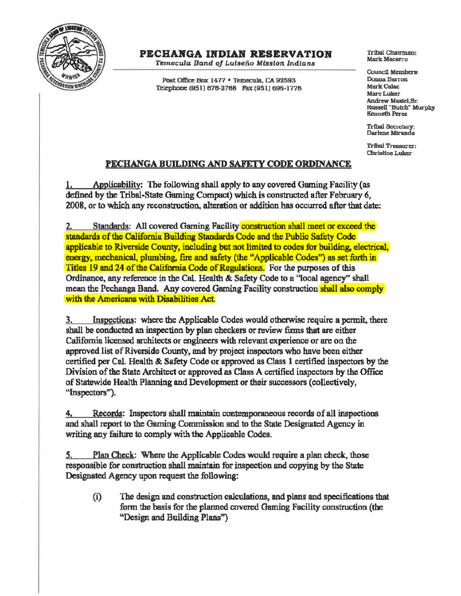

## PECHAKGA INDIAN RESERVATION

*Temecula* Band *of* Lulseiia Mfssfon *Indians* 

Post Office Box 1477 · Temecula, CA 92593 Telephone (951) 676-2768 Fax (951) 695-1778 Tribal Chairman: Mark Macarro

Council Memben: Donna Barron **Mark Calac** Marc Luker Andrew Maalel.Sr. Ru8sell "Butch· Murph)' Kenneth Perez

Tribal Secretary:<br>Darlene Miranda

Tribal Trcasura: Christine Luker

## PECHANGA BUILDING AND SAFETY CODE ORDINANCE

1. Applicability: The following shall apply to any covered Gaming Facility (as defined by the Tribal-State Gaming Compact) which is constructed after February 6, 2008, or to which any reconstruction, alteration or addition has occurred after that date:

2. Standards: All covered Gaming Facility **construction shall meet or exceed the** standards of the California Building Standards Code and the Public Safety Code applicable to Riverside County, including but not limited to codes for building, electrical, energy, mechanical, plumbing, fire and safety (the "Applicable Codes") as set forth in Titles 19 and 24 of the California Code of Regulations. For the purposes of this Ordinance, any reference in the Cal. Health & Safety Code to a "local agency'' shall mean the Pechanga Band. Any covered Gaming Facility construction shall also comply with the Americans with Disabilities Act.

3. Inspections: where the Applicable Codes would otherwise require a permit, there shall be conducted an inspection by plan checkers or review firms that are either California licensed architects or engineers with relevant experience or are on the approved list of Riverside County, and by project inspectors who have been either certified per Cal. Health & Safety Code or approved as Class 1 certified inspectors by the Division of the State Architect or approved as Class A certified inspectors by the Office of Statewide Health Planning and Development or their successors (collectively, "Inspectors").

4, Records: Inspectors shall maintain contemporaneous records of all inspections and shall report to the Gaming Commission and to the State Designated Agency in writing any failure to comply with the Applicable Codes.

*S.* Plan Check: Where the Applicable Codes would require a plan check, those responsible for construction shall maintain for inspection and copying by the State Designated Agency upon request the following:

(i) The design and construction calculations, and plans and specifications that form the basis for the planned covered Gaming Facility construction (the "Design and Building Plans'')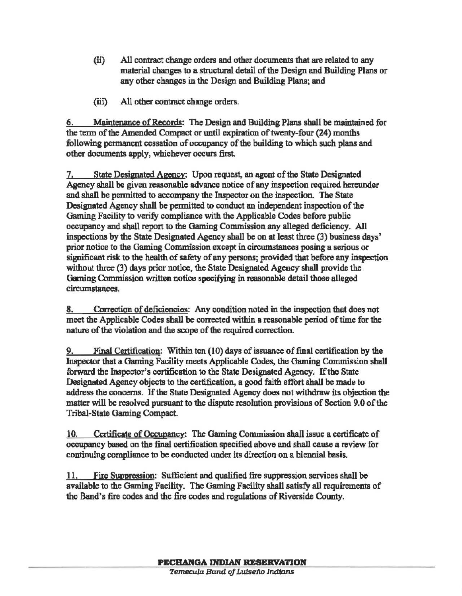- (ii) All contract change orders md other docwnents that are related to any material changes to a structural detail of the Design and Building Plans or any other changes in the Design and Building Plans; and
- (iii) All other contract change orders.

6. Maintenance of Records: The Design and Building Plans shall be maintained for the term of the Amended Compact or until expiration of twenty-four (24) months following permanent cessation of occupancy of the building to which such plans and other documents apply, whichever occurs first.

7. State Designated Agency: Upon request, an agent of the State Designated Agency shall be given reasonable advance notice of any inspection required hereunder and shall be permitted to accompany the Impector on the inspection. The State Designated Agency shall be permitted to conduct an independent inspection of the Gaming Facility to verify compliance with the Applicable Codes before public occupancy and shall report to the Gaming Commission any alleged deficiency. All inspections by the State Designated Agency shall be on at least three (3) business days' prior notice to the Gaming Commission except in circumstances posing a serious or significant risk to the health of safety of any persons; provided that before any inspection without three (3) days prior notice, the State Designated Agency shall provide the Gaming Commission written notice specifying in reasonable detail those alleged circumstances.

8. Correction of deficiencies: Any condition noted in the inspection that does not meet the Applicable Codes shall be corrected within a reasonable period of time for the nature of the violation and the scope of the required correction.

Final Certification: Within ten (10) days of issuance of final certification by the Inspector that a Gaming Facility meets Applicable Codes, the Gaming Commission shall forward the Inspector's certification to the State Designated Agency. If the State Designated Agency objects to the certification, a good faith effort shall be made to address the concerns. If the State Designated Agency does not withdraw its objection the matter will be resolved pursuant to the dispute resolution provisions of Section 9.0 of the Tribal-State Gaming Compact.

10. Certificate of Occupancy: The Gaming Commission shall issue a certificate of occupancy based on the final certification specified above and shall cause a review for continuing compliance to be conducted under its direction on a biennial basis.

11. Fire Suppression: Sufficient and qualified fire suppression services shall be available to the Gaming Facility. The Gaming Facility shall satisfy all requirements of the Band's fire codes and the fire codes and regulations of Riverside County.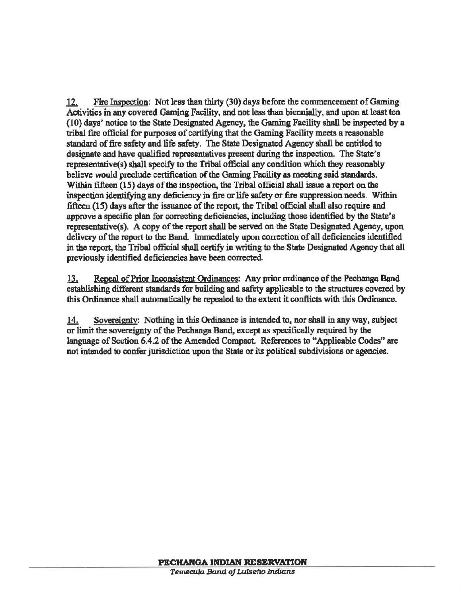12. Fire Inspection; Not less than thirty (30) days before the commencement of Gaming Activities in any covered Gaming Facility, and not less than biennially, and upon at least ten (10) days' notice to the State Designated Agency, the Gaming Facility shall be inspected by a tribal fire official for purposes of certifying that the Gaming Facility meets a reasonable standard of fire safety and life safety. The State Designated Agency shall be entitled to designate and have qualified representatives present during the inspection. The State's representative(s) shall specify to the Tribal official any condition which they reasonably believe would preclude certification of the Gaming Facility as meeting said standards. Within fifteen (15) days of the inspection, the Tribal official shall issue a report on the inspection identifying any deficiency in fire or life safety or fire suppression needs. Within fifteen (15) days after the issuance of the report, the Tribal official shall also require and approve a specific plan for correcting deficiencies, including those identified by the State's representative(s). A copy of the report shall be served on the State Designated Agency, upon delivery of the report to the Band. Immediately upon correction of all deficiencies identified in the report, the Tribal official shall certify in writing to the State Designated Agency that all previously identified deficiencies have been corrected

13. Repeal of Prior Inconsistent Ordinances: Any prior ordinance of the Pechanga Band establishing different standards for building and safety applicable to the structures covered by this Ordinance shall automatically be repealed to the extent it conflicts with this Ordinance.

14. Sovereignty: Nothing in this Ordinance is intended to, nor shall in any way, subject or limit the sovereignty of the Pechanga Band, except as specifically required by the language of Section 6.4.2 of the Amended Compact. References to "Applicable Codes" are not intended to confer jurisdiction upon the State or its political subdivisions or agencies.